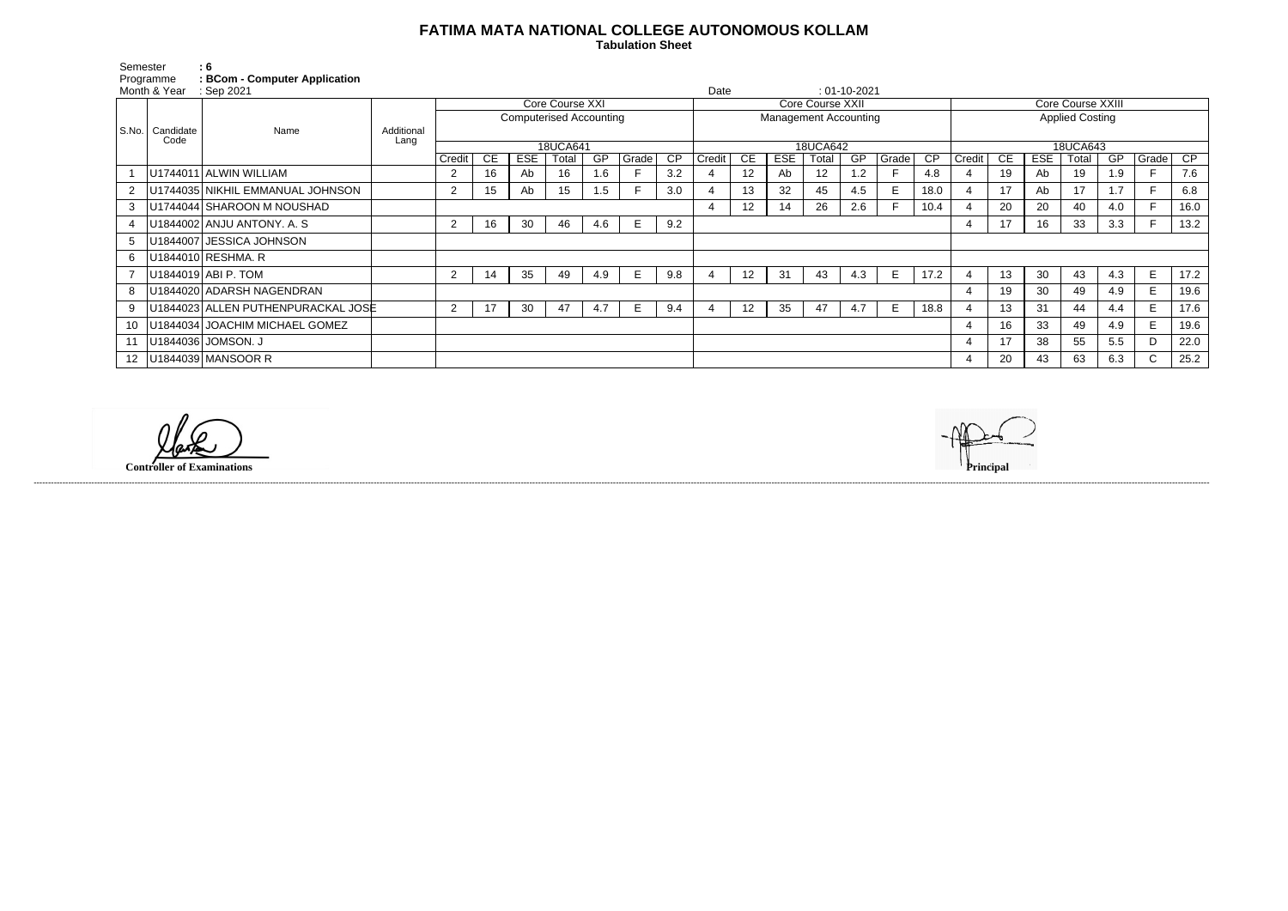## **FATIMA MATA NATIONAL COLLEGE AUTONOMOUS KOLLAM**

 **Tabulation Sheet** 

Semester : 6 Programme **: BCom - Computer Application**

| Month & Year<br>$\therefore$ Sep 2021 |           |                                       |            |                                                                 |    |            |          |     |       | $: 01-10-2021$<br>Date       |        |                 |            |                   |     |                        |           |                |     |            |       |     |       |      |
|---------------------------------------|-----------|---------------------------------------|------------|-----------------------------------------------------------------|----|------------|----------|-----|-------|------------------------------|--------|-----------------|------------|-------------------|-----|------------------------|-----------|----------------|-----|------------|-------|-----|-------|------|
|                                       |           | Name                                  | Additional | Core Course XXI<br>Core Course XXII<br><b>Core Course XXIII</b> |    |            |          |     |       |                              |        |                 |            |                   |     |                        |           |                |     |            |       |     |       |      |
|                                       |           |                                       |            | <b>Computerised Accounting</b>                                  |    |            |          |     |       | <b>Management Accounting</b> |        |                 |            |                   |     | <b>Applied Costing</b> |           |                |     |            |       |     |       |      |
| S.No.                                 | Candidate |                                       |            |                                                                 |    |            |          |     |       |                              |        |                 |            |                   |     |                        |           |                |     |            |       |     |       |      |
|                                       | Code      |                                       | Lang       |                                                                 |    |            | 18UCA641 |     |       | <b>18UCA642</b>              |        |                 |            |                   |     |                        |           | 18UCA643       |     |            |       |     |       |      |
|                                       |           |                                       |            | Credit                                                          | CЕ | <b>ESE</b> | Total    | GP  | Grade | CP                           | Credit | CE              | <b>ESE</b> | Total             | GP  | Grade                  | <b>CP</b> | Credit         | CE. | <b>ESE</b> | Total | GP  | Grade | CP   |
|                                       |           | U1744011 ALWIN WILLIAM                |            | 2                                                               | 16 | Ab         | 16       | 1.6 |       | 3.2                          |        | 12              | Ab         | $12 \overline{ }$ | 1.2 |                        | 4.8       |                | 19  | Ab         | 19    | 1.9 |       | 7.6  |
|                                       |           | U1744035 NIKHIL EMMANUAL JOHNSON      |            | $\overline{2}$                                                  | 15 | Ab         | 15       | 1.5 |       | 3.0                          |        | 13              | 32         | 45                | 4.5 | E.                     | 18.0      | 4              | 17  | Ab         | 17    | 1.7 |       | 6.8  |
| 3                                     |           | U1744044 SHAROON M NOUSHAD            |            |                                                                 |    |            |          |     |       |                              |        | 12              | 14         | 26                | 2.6 |                        | 10.4      |                | 20  | 20         | 40    | 4.0 |       | 16.0 |
|                                       |           | U1844002 ANJU ANTONY. A.S.            |            | 2                                                               | 16 | 30         | 46       | 4.6 | E     | 9.2                          |        |                 |            |                   |     |                        |           | 4              | 17  | 16         | 33    | 3.3 |       | 13.2 |
|                                       |           | U1844007 JESSICA JOHNSON              |            |                                                                 |    |            |          |     |       |                              |        |                 |            |                   |     |                        |           |                |     |            |       |     |       |      |
| 6                                     |           | U1844010 RESHMA.R                     |            |                                                                 |    |            |          |     |       |                              |        |                 |            |                   |     |                        |           |                |     |            |       |     |       |      |
|                                       |           | U1844019 ABI P. TOM                   |            | $\overline{2}$                                                  | 14 | 35         | 49       | 4.9 | E     | 9.8                          |        | 12 <sup>2</sup> | 31         | 43                | 4.3 | E                      | 17.2      |                | 13  | 30         | 43    | 4.3 | E     | 17.2 |
|                                       |           | U1844020 ADARSH NAGENDRAN             |            |                                                                 |    |            |          |     |       |                              |        |                 |            |                   |     |                        |           | 4              | 19  | 30         | 49    | 4.9 | E.    | 19.6 |
| 9                                     |           | U1844023 ALLEN PUTHENPURACKAL JOSE    |            | $\overline{2}$                                                  | 17 | 30         | 47       | 4.7 | E     | 9.4                          |        | 12              | 35         | 47                | 4.7 | E                      | 18.8      | $\overline{4}$ | 13  | 31         | 44    | 4.4 | E     | 17.6 |
|                                       |           | 10   U1844034   JOACHIM MICHAEL GOMEZ |            |                                                                 |    |            |          |     |       |                              |        |                 |            |                   |     |                        |           | 4              | 16  | 33         | 49    | 4.9 | E     | 19.6 |
|                                       |           | 11   U1844036   JOMSON. J             |            |                                                                 |    |            |          |     |       |                              |        |                 |            |                   |     |                        |           | 4              | 17  | 38         | 55    | 5.5 | D     | 22.0 |
|                                       |           | 12   U1844039   MANSOOR R             |            |                                                                 |    |            |          |     |       |                              |        |                 |            |                   |     |                        |           | 4              | 20  | 43         | 63    | 6.3 | C.    | 25.2 |

**Controller of Examinations Principal**

------------------------------------------------------------------------------------------------------------------------------------------------------------------------------------------------------------------------------------------------------------------------------------------------------------------------------------------------------------------------------------------------------------------------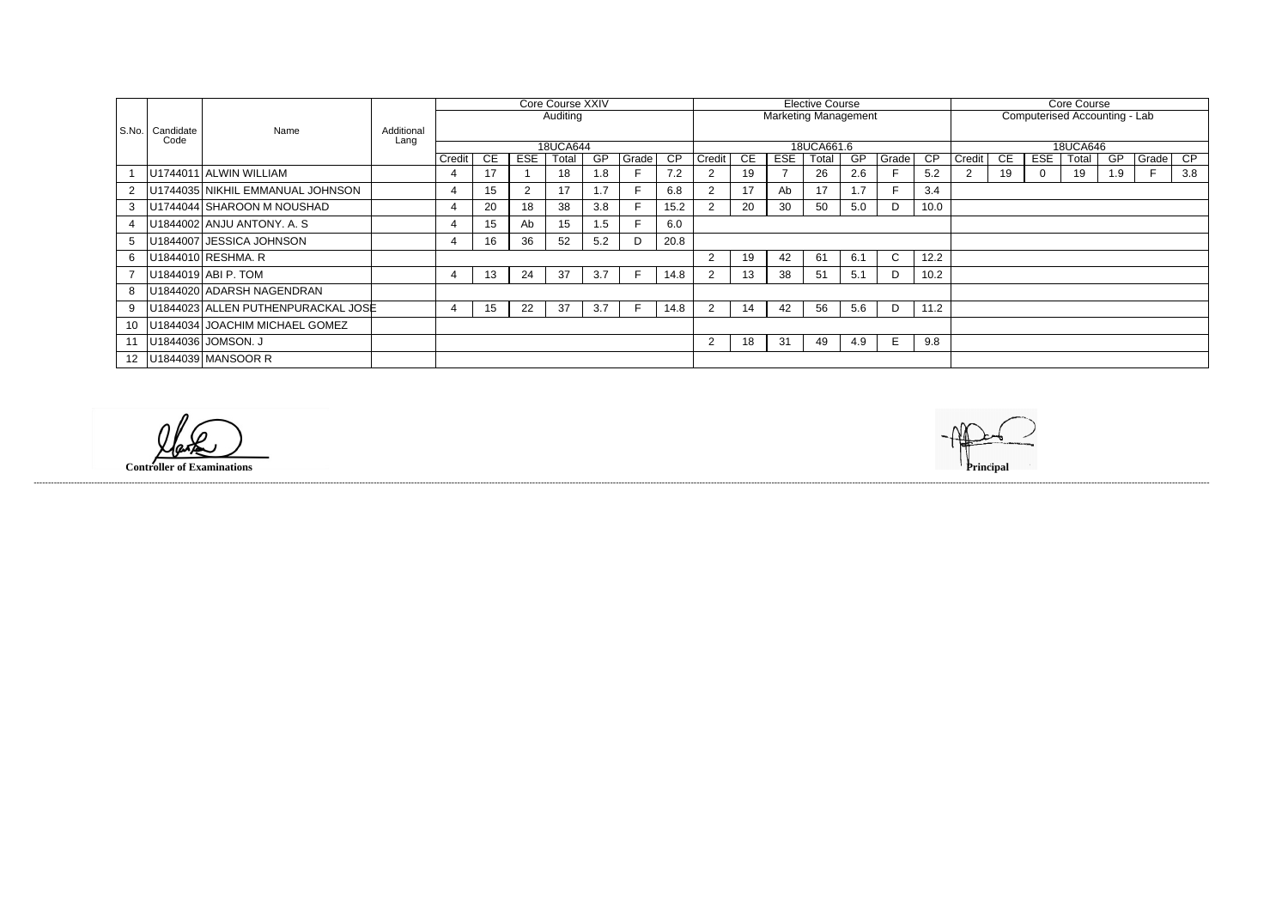|                 |                   |                                    |            | <b>Core Course XXIV</b> |     |     |                |           |       | <b>Elective Course</b> |                             |    |            |       |     |              | Core Course |                               |     |          |       |     |       |     |
|-----------------|-------------------|------------------------------------|------------|-------------------------|-----|-----|----------------|-----------|-------|------------------------|-----------------------------|----|------------|-------|-----|--------------|-------------|-------------------------------|-----|----------|-------|-----|-------|-----|
|                 | Candidate<br>Code |                                    |            | Auditing                |     |     |                |           |       |                        | <b>Marketing Management</b> |    |            |       |     |              |             | Computerised Accounting - Lab |     |          |       |     |       |     |
| l S.No. l       |                   | Name                               | Additional |                         |     |     |                |           |       |                        |                             |    |            |       |     |              |             |                               |     |          |       |     |       |     |
|                 |                   |                                    | Lang       | 18UCA644                |     |     |                |           |       | 18UCA661.6             |                             |    |            |       |     |              | 18UCA646    |                               |     |          |       |     |       |     |
|                 |                   |                                    |            | Credit                  | CE. | ESE | Total          | <b>GP</b> | Grade | $\overline{CP}$        | Credit                      | CE | <b>ESE</b> | Total | -GP | Grade        | CP.         | Credit                        | CE. | ESE      | Total | GP  | Grade | CP  |
|                 |                   | U1744011 ALWIN WILLIAM             |            |                         | 17  |     | 18             | 1.8       |       | 7.2                    |                             | 19 |            | 26    | 2.6 |              | 5.2         | $\overline{2}$                | 19  | $\Omega$ | 19    | 1.9 |       | 3.8 |
|                 |                   | U1744035 NIKHIL EMMANUAL JOHNSON   |            |                         | 15  | 2   | 17             | 1.7       |       | 6.8                    |                             | 17 | Ab         | 17    | 1.7 |              | 3.4         |                               |     |          |       |     |       |     |
| 3               |                   | U1744044 SHAROON M NOUSHAD         |            |                         | 20  | 18  | 38             | 3.8       |       | 15.2                   |                             | 20 | 30         | 50    | 5.0 | D            | 10.0        |                               |     |          |       |     |       |     |
|                 |                   | U1844002 ANJU ANTONY. A. S         |            |                         | 15  | Ab  | 15             | 1.5       |       | 6.0                    |                             |    |            |       |     |              |             |                               |     |          |       |     |       |     |
|                 |                   | U1844007 JESSICA JOHNSON           |            |                         | 16  | 36  | 52             | 5.2       | D     | 20.8                   |                             |    |            |       |     |              |             |                               |     |          |       |     |       |     |
| 6               |                   | U1844010 RESHMA. R                 |            |                         |     |     |                |           |       |                        | 2                           | 19 | 42         | 61    | 6.1 | $\mathsf{C}$ | 12.2        |                               |     |          |       |     |       |     |
|                 |                   | U1844019 ABI P. TOM                |            | 4                       | 13  | 24  | 37             | 3.7       |       | 14.8                   |                             | 13 | 38         | 51    | 5.1 | D            | 10.2        |                               |     |          |       |     |       |     |
|                 |                   | U1844020 ADARSH NAGENDRAN          |            |                         |     |     |                |           |       |                        |                             |    |            |       |     |              |             |                               |     |          |       |     |       |     |
| 9               |                   | U1844023 ALLEN PUTHENPURACKAL JOSE |            |                         | 15  | 22  | -37            | 3.7       |       | 14.8                   |                             | 14 | 42         | 56    | 5.6 | D            | 11.2        |                               |     |          |       |     |       |     |
| 10              |                   | U1844034 JOACHIM MICHAEL GOMEZ     |            |                         |     |     |                |           |       |                        |                             |    |            |       |     |              |             |                               |     |          |       |     |       |     |
|                 |                   | 11   U1844036   JOMSON. J          |            |                         |     |     | $\overline{2}$ | 18        | 31    | 49                     | 4.9                         | E  | 9.8        |       |     |              |             |                               |     |          |       |     |       |     |
| 12 <sup>1</sup> |                   | U1844039 MANSOOR R                 |            |                         |     |     |                |           |       |                        |                             |    |            |       |     |              |             |                               |     |          |       |     |       |     |

**Controller of Examinations Principal**

------------------------------------------------------------------------------------------------------------------------------------------------------------------------------------------------------------------------------------------------------------------------------------------------------------------------------------------------------------------------------------------------------------------------